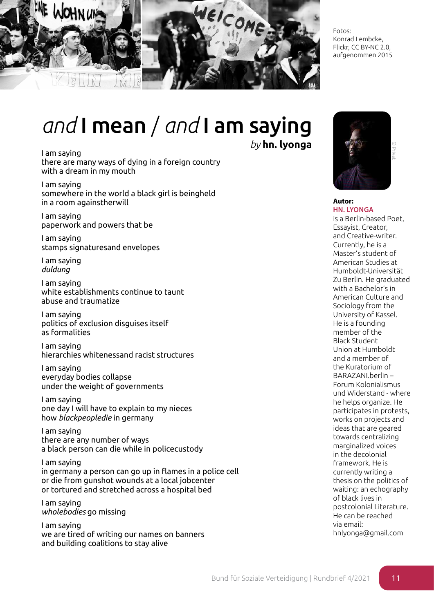

Fotos: Konrad Lembcke, Flickr, CC BY-NC 2.0, aufgenommen 2015

## *and* I mean / *and* I am saying

I am saying there are many ways of dying in a foreign country with a dream in my mouth

I am saying somewhere in the world a black girl is beingheld in a room againstherwill

I am saying paperwork and powers that be

I am saying stamps signaturesand envelopes

I am saying *duldung*

I am saying white establishments continue to taunt abuse and traumatize

I am saying politics of exclusion disguises itself as formalities

I am saying hierarchies whitenessand racist structures

I am saying everyday bodies collapse under the weight of governments

I am saying one day I will have to explain to my nieces how *blackpeopledie* in germany

I am saying there are any number of ways a black person can die while in policecustody

I am saying in germany a person can go up in flames in a police cell or die from gunshot wounds at a local jobcenter or tortured and stretched across a hospital bed

I am saying *wholebodies* go missing

I am saying we are tired of writing our names on banners and building coalitions to stay alive

*by* **hn. lyonga**



## **Autor: HN. LYONGA**

is a Berlin-based Poet, Essayist, Creator, and Creative-writer. Currently, he is a Master's student of American Studies at Humboldt-Universität Zu Berlin. He graduated with a Bachelor's in American Culture and Sociology from the University of Kassel. He is a founding member of the Black Student Union at Humboldt and a member of the Kuratorium of BARAZANI.berlin – Forum Kolonialismus und Widerstand - where he helps organize. He participates in protests, works on projects and ideas that are geared towards centralizing marginalized voices in the decolonial framework. He is currently writing a thesis on the politics of waiting: an echography of black lives in postcolonial Literature. He can be reached via email: hnlyonga@gmail.com